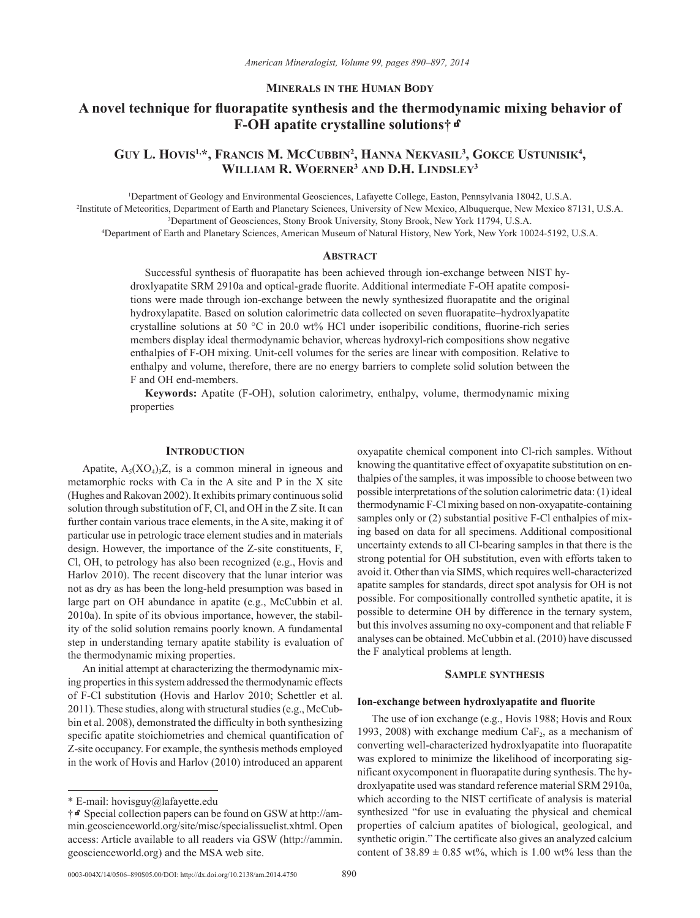### **Minerals in the Human Body**

# **A novel technique for fluorapatite synthesis and the thermodynamic mixing behavior of F-OH apatite crystalline solutions†**k

# Guy L. Hovis<sup>1,\*</sup>, Francis M. McCubbin<sup>2</sup>, Hanna Nekvasil<sup>3</sup>, Gokce Ustunisik<sup>4</sup>, **William R. Woerner3 and D.H. Lindsley3**

1 Department of Geology and Environmental Geosciences, Lafayette College, Easton, Pennsylvania 18042, U.S.A. 2 Institute of Meteoritics, Department of Earth and Planetary Sciences, University of New Mexico, Albuquerque, New Mexico 87131, U.S.A. 3 Department of Geosciences, Stony Brook University, Stony Brook, New York 11794, U.S.A.

4 Department of Earth and Planetary Sciences, American Museum of Natural History, New York, New York 10024-5192, U.S.A.

#### **ABSTRACT**

Successful synthesis of fluorapatite has been achieved through ion-exchange between NIST hydroxlyapatite SRM 2910a and optical-grade fluorite. Additional intermediate F-OH apatite compositions were made through ion-exchange between the newly synthesized fluorapatite and the original hydroxylapatite. Based on solution calorimetric data collected on seven fluorapatite–hydroxlyapatite crystalline solutions at 50 °C in 20.0 wt% HCl under isoperibilic conditions, fluorine-rich series members display ideal thermodynamic behavior, whereas hydroxyl-rich compositions show negative enthalpies of F-OH mixing. Unit-cell volumes for the series are linear with composition. Relative to enthalpy and volume, therefore, there are no energy barriers to complete solid solution between the F and OH end-members.

**Keywords:** Apatite (F-OH), solution calorimetry, enthalpy, volume, thermodynamic mixing properties

### **Introduction**

Apatite,  $A_5(XO_4)$ <sub>3</sub>Z, is a common mineral in igneous and metamorphic rocks with Ca in the A site and P in the X site (Hughes and Rakovan 2002). It exhibits primary continuous solid solution through substitution of F, Cl, and OH in the Z site. It can further contain various trace elements, in the A site, making it of particular use in petrologic trace element studies and in materials design. However, the importance of the Z-site constituents, F, Cl, OH, to petrology has also been recognized (e.g., Hovis and Harlov 2010). The recent discovery that the lunar interior was not as dry as has been the long-held presumption was based in large part on OH abundance in apatite (e.g., McCubbin et al. 2010a). In spite of its obvious importance, however, the stability of the solid solution remains poorly known. A fundamental step in understanding ternary apatite stability is evaluation of the thermodynamic mixing properties.

An initial attempt at characterizing the thermodynamic mixing properties in this system addressed the thermodynamic effects of F-Cl substitution (Hovis and Harlov 2010; Schettler et al. 2011). These studies, along with structural studies (e.g., McCubbin et al. 2008), demonstrated the difficulty in both synthesizing specific apatite stoichiometries and chemical quantification of Z-site occupancy. For example, the synthesis methods employed in the work of Hovis and Harlov (2010) introduced an apparent oxyapatite chemical component into Cl-rich samples. Without knowing the quantitative effect of oxyapatite substitution on enthalpies of the samples, it was impossible to choose between two possible interpretations of the solution calorimetric data: (1) ideal thermodynamic F-Cl mixing based on non-oxyapatite-containing samples only or (2) substantial positive F-Cl enthalpies of mixing based on data for all specimens. Additional compositional uncertainty extends to all Cl-bearing samples in that there is the strong potential for OH substitution, even with efforts taken to avoid it. Other than via SIMS, which requires well-characterized apatite samples for standards, direct spot analysis for OH is not possible. For compositionally controlled synthetic apatite, it is possible to determine OH by difference in the ternary system, but this involves assuming no oxy-component and that reliable F analyses can be obtained. McCubbin et al. (2010) have discussed the F analytical problems at length.

### **Sample synthesis**

### **Ion-exchange between hydroxlyapatite and fluorite**

The use of ion exchange (e.g., Hovis 1988; Hovis and Roux 1993, 2008) with exchange medium  $CaF<sub>2</sub>$ , as a mechanism of converting well-characterized hydroxlyapatite into fluorapatite was explored to minimize the likelihood of incorporating significant oxycomponent in fluorapatite during synthesis. The hydroxlyapatite used was standard reference material SRM 2910a, which according to the NIST certificate of analysis is material synthesized "for use in evaluating the physical and chemical properties of calcium apatites of biological, geological, and synthetic origin." The certificate also gives an analyzed calcium content of  $38.89 \pm 0.85$  wt%, which is 1.00 wt% less than the

<sup>\*</sup> E-mail: hovisguy@lafayette.edu

<sup>†</sup>kSpecial collection papers can be found on GSW at http://ammin.geoscienceworld.org/site/misc/specialissuelist.xhtml. Open access: Article available to all readers via GSW (http://ammin. geoscienceworld.org) and the MSA web site.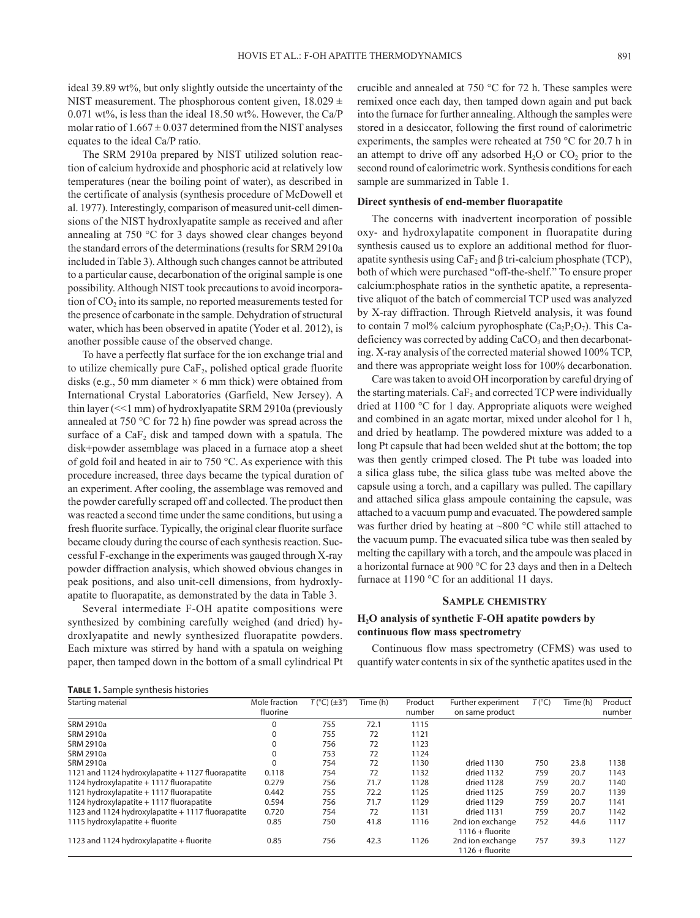ideal 39.89 wt%, but only slightly outside the uncertainty of the NIST measurement. The phosphorous content given,  $18.029 \pm$ 0.071 wt%, is less than the ideal 18.50 wt%. However, the Ca/P molar ratio of  $1.667 \pm 0.037$  determined from the NIST analyses equates to the ideal Ca/P ratio.

The SRM 2910a prepared by NIST utilized solution reaction of calcium hydroxide and phosphoric acid at relatively low temperatures (near the boiling point of water), as described in the certificate of analysis (synthesis procedure of McDowell et al. 1977). Interestingly, comparison of measured unit-cell dimensions of the NIST hydroxlyapatite sample as received and after annealing at 750 °C for 3 days showed clear changes beyond the standard errors of the determinations (results for SRM 2910a included in Table 3). Although such changes cannot be attributed to a particular cause, decarbonation of the original sample is one possibility. Although NIST took precautions to avoid incorporation of CO<sub>2</sub> into its sample, no reported measurements tested for the presence of carbonate in the sample. Dehydration of structural water, which has been observed in apatite (Yoder et al. 2012), is another possible cause of the observed change.

To have a perfectly flat surface for the ion exchange trial and to utilize chemically pure  $CaF<sub>2</sub>$ , polished optical grade fluorite disks (e.g., 50 mm diameter  $\times$  6 mm thick) were obtained from International Crystal Laboratories (Garfield, New Jersey). A thin layer (<<1 mm) of hydroxlyapatite SRM 2910a (previously annealed at 750 °C for 72 h) fine powder was spread across the surface of a  $CaF<sub>2</sub>$  disk and tamped down with a spatula. The disk+powder assemblage was placed in a furnace atop a sheet of gold foil and heated in air to 750 °C. As experience with this procedure increased, three days became the typical duration of an experiment. After cooling, the assemblage was removed and the powder carefully scraped off and collected. The product then was reacted a second time under the same conditions, but using a fresh fluorite surface. Typically, the original clear fluorite surface became cloudy during the course of each synthesis reaction. Successful F-exchange in the experiments was gauged through X‑ray powder diffraction analysis, which showed obvious changes in peak positions, and also unit-cell dimensions, from hydroxlyapatite to fluorapatite, as demonstrated by the data in Table 3.

Several intermediate F-OH apatite compositions were synthesized by combining carefully weighed (and dried) hydroxlyapatite and newly synthesized fluorapatite powders. Each mixture was stirred by hand with a spatula on weighing paper, then tamped down in the bottom of a small cylindrical Pt

**Table 1.** Sample synthesis histories

crucible and annealed at 750 °C for 72 h. These samples were remixed once each day, then tamped down again and put back into the furnace for further annealing. Although the samples were stored in a desiccator, following the first round of calorimetric experiments, the samples were reheated at 750 °C for 20.7 h in an attempt to drive off any adsorbed  $H_2O$  or  $CO_2$  prior to the second round of calorimetric work. Synthesis conditions for each sample are summarized in Table 1.

### **Direct synthesis of end-member fluorapatite**

The concerns with inadvertent incorporation of possible oxy- and hydroxylapatite component in fluorapatite during synthesis caused us to explore an additional method for fluorapatite synthesis using  $CaF_2$  and β tri-calcium phosphate (TCP), both of which were purchased "off-the-shelf." To ensure proper calcium:phosphate ratios in the synthetic apatite, a representative aliquot of the batch of commercial TCP used was analyzed by X‑ray diffraction. Through Rietveld analysis, it was found to contain 7 mol% calcium pyrophosphate  $(Ca_2P_2O_7)$ . This Cadeficiency was corrected by adding  $CaCO<sub>3</sub>$  and then decarbonating. X‑ray analysis of the corrected material showed 100% TCP, and there was appropriate weight loss for 100% decarbonation.

Care was taken to avoid OH incorporation by careful drying of the starting materials.  $CaF<sub>2</sub>$  and corrected TCP were individually dried at 1100 °C for 1 day. Appropriate aliquots were weighed and combined in an agate mortar, mixed under alcohol for 1 h, and dried by heatlamp. The powdered mixture was added to a long Pt capsule that had been welded shut at the bottom; the top was then gently crimped closed. The Pt tube was loaded into a silica glass tube, the silica glass tube was melted above the capsule using a torch, and a capillary was pulled. The capillary and attached silica glass ampoule containing the capsule, was attached to a vacuum pump and evacuated. The powdered sample was further dried by heating at  $\sim$ 800 °C while still attached to the vacuum pump. The evacuated silica tube was then sealed by melting the capillary with a torch, and the ampoule was placed in a horizontal furnace at 900 °C for 23 days and then in a Deltech furnace at 1190 °C for an additional 11 days.

### **Sample chemistry**

## **H2O analysis of synthetic F-OH apatite powders by continuous flow mass spectrometry**

Continuous flow mass spectrometry (CFMS) was used to quantify water contents in six of the synthetic apatites used in the

| Starting material                                 | Mole fraction | $T$ (°C) ( $\pm$ 3°) | Time (h) | Product | Further experiment                    | T (°C) | Time (h) | Product |  |
|---------------------------------------------------|---------------|----------------------|----------|---------|---------------------------------------|--------|----------|---------|--|
|                                                   | fluorine      |                      |          | number  | on same product                       |        |          | number  |  |
| <b>SRM 2910a</b>                                  | 0             | 755                  | 72.1     | 1115    |                                       |        |          |         |  |
| <b>SRM 2910a</b>                                  |               | 755                  | 72       | 1121    |                                       |        |          |         |  |
| <b>SRM 2910a</b>                                  |               | 756                  | 72       | 1123    |                                       |        |          |         |  |
| <b>SRM 2910a</b>                                  |               | 753                  | 72       | 1124    |                                       |        |          |         |  |
| <b>SRM 2910a</b>                                  | $\Omega$      | 754                  | 72       | 1130    | dried 1130                            | 750    | 23.8     | 1138    |  |
| 1121 and 1124 hydroxylapatite + 1127 fluorapatite | 0.118         | 754                  | 72       | 1132    | dried 1132                            | 759    | 20.7     | 1143    |  |
| 1124 hydroxylapatite + 1117 fluorapatite          | 0.279         | 756                  | 71.7     | 1128    | dried 1128                            | 759    | 20.7     | 1140    |  |
| 1121 hydroxylapatite + 1117 fluorapatite          | 0.442         | 755                  | 72.2     | 1125    | dried 1125                            | 759    | 20.7     | 1139    |  |
| 1124 hydroxylapatite + 1117 fluorapatite          | 0.594         | 756                  | 71.7     | 1129    | dried 1129                            | 759    | 20.7     | 1141    |  |
| 1123 and 1124 hydroxylapatite + 1117 fluorapatite | 0.720         | 754                  | 72       | 1131    | dried 1131                            | 759    | 20.7     | 1142    |  |
| 1115 hydroxylapatite + fluorite                   | 0.85          | 750                  | 41.8     | 1116    | 2nd ion exchange<br>$1116 +$ fluorite | 752    | 44.6     | 1117    |  |
| 1123 and 1124 hydroxylapatite + fluorite          | 0.85          | 756                  | 42.3     | 1126    | 2nd ion exchange<br>$1126 +$ fluorite | 757    | 39.3     | 1127    |  |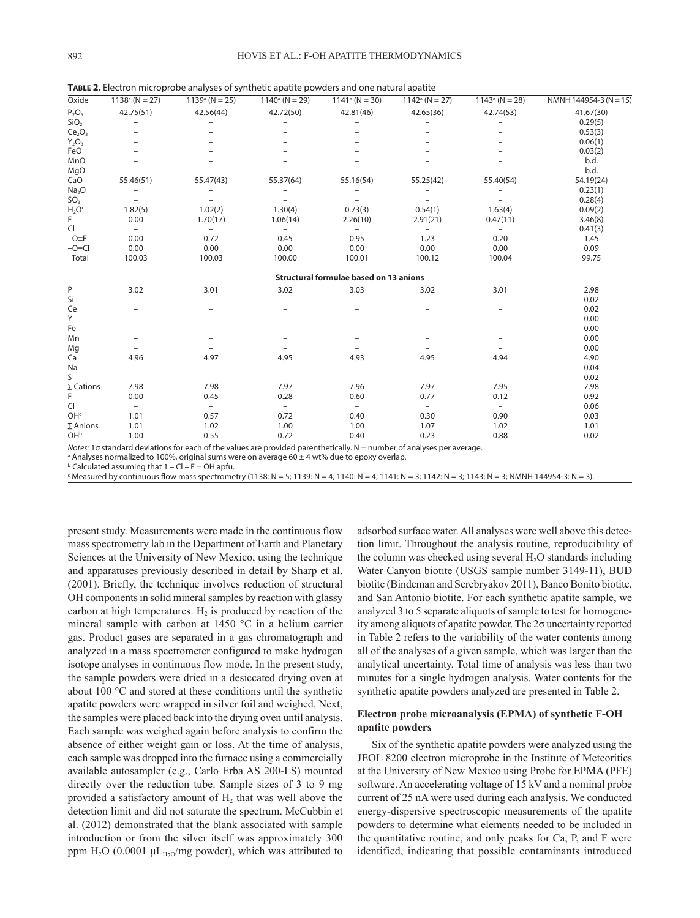**Table 2.** Electron microprobe analyses of synthetic apatite powders and one natural apatite

|                                |                          |                          | . .                      |                                               |                          |                          |                        |
|--------------------------------|--------------------------|--------------------------|--------------------------|-----------------------------------------------|--------------------------|--------------------------|------------------------|
| Oxide                          | $1138^{\circ}$ (N = 27)  | $1139^{\circ}$ (N = 25)  | $1140^{\circ}$ (N = 29)  | $1141^{\circ}$ (N = 30)                       | $1142^{\circ}$ (N = 27)  | $1143^{\circ}$ (N = 28)  | NMNH 144954-3 (N = 15) |
| $P_2O_5$                       | 42.75(51)                | 42.56(44)                | 42.72(50)                | 42.81(46)                                     | 42.65(36)                | 42.74(53)                | 41.67(30)              |
| SiO <sub>2</sub>               |                          |                          |                          |                                               |                          |                          | 0.29(5)                |
| Ce <sub>2</sub> O <sub>3</sub> |                          |                          |                          |                                               |                          |                          | 0.53(3)                |
| $Y_2O_3$                       |                          |                          |                          |                                               |                          |                          | 0.06(1)                |
| FeO                            |                          |                          |                          |                                               |                          |                          | 0.03(2)                |
| MnO                            |                          |                          |                          |                                               |                          |                          | b.d.                   |
| MgO                            |                          |                          |                          |                                               |                          |                          | b.d.                   |
| CaO                            | 55.46(51)                | 55.47(43)                | 55.37(64)                | 55.16(54)                                     | 55.25(42)                | 55.40(54)                | 54.19(24)              |
| Na <sub>2</sub> O              | $\overline{\phantom{0}}$ |                          |                          |                                               |                          |                          | 0.23(1)                |
| SO <sub>3</sub>                |                          |                          |                          |                                               |                          |                          | 0.28(4)                |
| $H_2Oc$                        | 1.82(5)                  | 1.02(2)                  | 1.30(4)                  | 0.73(3)                                       | 0.54(1)                  | 1.63(4)                  | 0.09(2)                |
| F                              | 0.00                     | 1.70(17)                 | 1.06(14)                 | 2.26(10)                                      | 2.91(21)                 | 0.47(11)                 | 3.46(8)                |
| CI                             | $\qquad \qquad -$        | $\qquad \qquad -$        | $\qquad \qquad -$        | $\overline{\phantom{0}}$                      | $\overline{\phantom{0}}$ | $\overline{\phantom{0}}$ | 0.41(3)                |
| $-O=F$                         | 0.00                     | 0.72                     | 0.45                     | 0.95                                          | 1.23                     | 0.20                     | 1.45                   |
| $-O=Cl$                        | 0.00                     | 0.00                     | 0.00                     | 0.00                                          | 0.00                     | 0.00                     | 0.09                   |
| Total                          | 100.03                   | 100.03                   | 100.00                   | 100.01                                        | 100.12                   | 100.04                   | 99.75                  |
|                                |                          |                          |                          | <b>Structural formulae based on 13 anions</b> |                          |                          |                        |
| P                              | 3.02                     | 3.01                     | 3.02                     | 3.03                                          | 3.02                     | 3.01                     | 2.98                   |
| Si                             |                          | $\overline{\phantom{0}}$ |                          |                                               |                          |                          | 0.02                   |
| Ce                             |                          |                          |                          |                                               |                          |                          | 0.02                   |
| Y                              |                          |                          |                          |                                               |                          |                          | 0.00                   |
| Fe                             |                          |                          |                          |                                               |                          |                          | 0.00                   |
| Mn                             |                          |                          |                          |                                               |                          |                          | 0.00                   |
| Mg                             | $\overline{\phantom{0}}$ |                          |                          |                                               |                          |                          | 0.00                   |
| Ca                             | 4.96                     | 4.97                     | 4.95                     | 4.93                                          | 4.95                     | 4.94                     | 4.90                   |
| Na                             | $\overline{a}$           | $\overline{a}$           | $\overline{a}$           | $\overline{a}$                                |                          | $\overline{a}$           | 0.04                   |
| S                              | $\overline{a}$           | $\overline{a}$           | $\overline{\phantom{0}}$ |                                               |                          | $\overline{\phantom{0}}$ | 0.02                   |
| $\Sigma$ Cations               | 7.98                     | 7.98                     | 7.97                     | 7.96                                          | 7.97                     | 7.95                     | 7.98                   |
| F                              | 0.00                     | 0.45                     | 0.28                     | 0.60                                          | 0.77                     | 0.12                     | 0.92                   |
| CI                             | $\overline{\phantom{a}}$ | $\overline{\phantom{0}}$ | $\overline{\phantom{a}}$ | $\overline{\phantom{0}}$                      | $-$                      | $\overline{\phantom{a}}$ | 0.06                   |
| OH <sup>c</sup>                | 1.01                     | 0.57                     | 0.72                     | 0.40                                          | 0.30                     | 0.90                     | 0.03                   |
| $\Sigma$ Anions                | 1.01                     | 1.02                     | 1.00                     | 1.00                                          | 1.07                     | 1.02                     | 1.01                   |
| OH <sub>b</sub>                | 1.00                     | 0.55                     | 0.72                     | 0.40                                          | 0.23                     | 0.88                     | 0.02                   |

*Notes:* 10 standard deviations for each of the values are provided parenthetically. N = number of analyses per average.

<sup>a</sup> Analyses normalized to 100%, original sums were on average 60  $\pm$  4 wt% due to epoxy overlap.

 $b$  Calculated assuming that  $1 - CI - F = OH$  apfu.

 $\cdot$  Measured by continuous flow mass spectrometry (1138: N = 5; 1139: N = 4; 1140: N = 4; 1141: N = 3; 1142: N = 3; 1143: N = 3; 1NMNH 144954-3: N = 3).

present study. Measurements were made in the continuous flow mass spectrometry lab in the Department of Earth and Planetary Sciences at the University of New Mexico, using the technique and apparatuses previously described in detail by Sharp et al. (2001). Briefly, the technique involves reduction of structural OH components in solid mineral samples by reaction with glassy carbon at high temperatures.  $H_2$  is produced by reaction of the mineral sample with carbon at 1450 °C in a helium carrier gas. Product gases are separated in a gas chromatograph and analyzed in a mass spectrometer configured to make hydrogen isotope analyses in continuous flow mode. In the present study, the sample powders were dried in a desiccated drying oven at about 100 °C and stored at these conditions until the synthetic apatite powders were wrapped in silver foil and weighed. Next, the samples were placed back into the drying oven until analysis. Each sample was weighed again before analysis to confirm the absence of either weight gain or loss. At the time of analysis, each sample was dropped into the furnace using a commercially available autosampler (e.g., Carlo Erba AS 200-LS) mounted directly over the reduction tube. Sample sizes of 3 to 9 mg provided a satisfactory amount of  $H_2$  that was well above the detection limit and did not saturate the spectrum. McCubbin et al. (2012) demonstrated that the blank associated with sample introduction or from the silver itself was approximately 300 ppm H<sub>2</sub>O (0.0001  $\mu$ L<sub>H2O</sub>/mg powder), which was attributed to

adsorbed surface water. All analyses were well above this detection limit. Throughout the analysis routine, reproducibility of the column was checked using several  $H_2O$  standards including Water Canyon biotite (USGS sample number 3149-11), BUD biotite (Bindeman and Serebryakov 2011), Banco Bonito biotite, and San Antonio biotite. For each synthetic apatite sample, we analyzed 3 to 5 separate aliquots of sample to test for homogeneity among aliquots of apatite powder. The 2σ uncertainty reported in Table 2 refers to the variability of the water contents among all of the analyses of a given sample, which was larger than the analytical uncertainty. Total time of analysis was less than two minutes for a single hydrogen analysis. Water contents for the synthetic apatite powders analyzed are presented in Table 2.

## **Electron probe microanalysis (EPMA) of synthetic F-OH apatite powders**

Six of the synthetic apatite powders were analyzed using the JEOL 8200 electron microprobe in the Institute of Meteoritics at the University of New Mexico using Probe for EPMA (PFE) software. An accelerating voltage of 15 kV and a nominal probe current of 25 nA were used during each analysis. We conducted energy-dispersive spectroscopic measurements of the apatite powders to determine what elements needed to be included in the quantitative routine, and only peaks for Ca, P, and F were identified, indicating that possible contaminants introduced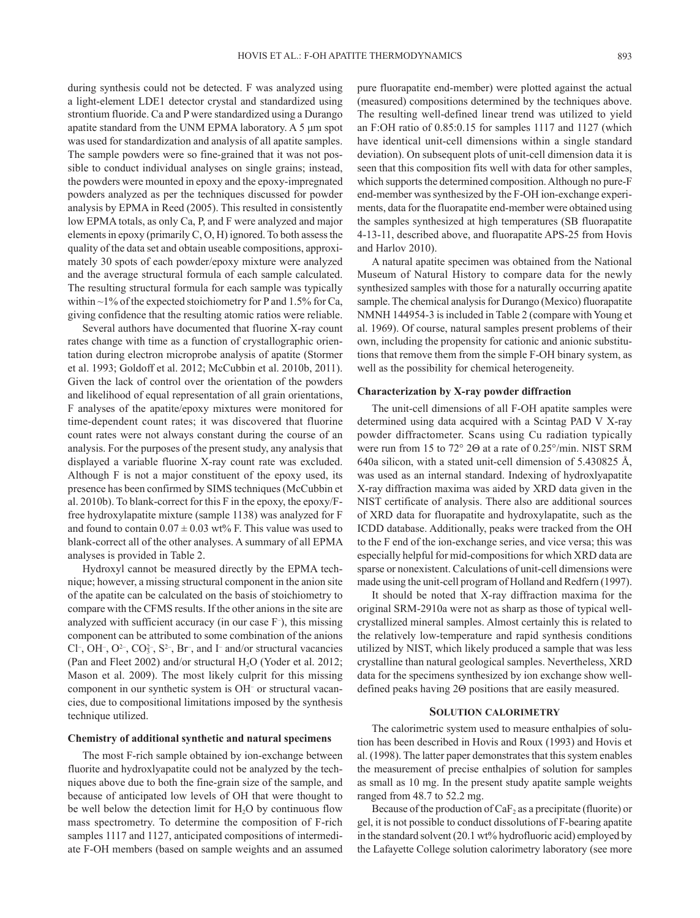during synthesis could not be detected. F was analyzed using a light-element LDE1 detector crystal and standardized using strontium fluoride. Ca and P were standardized using a Durango apatite standard from the UNM EPMA laboratory. A 5 μm spot was used for standardization and analysis of all apatite samples. The sample powders were so fine-grained that it was not possible to conduct individual analyses on single grains; instead, the powders were mounted in epoxy and the epoxy-impregnated powders analyzed as per the techniques discussed for powder analysis by EPMA in Reed (2005). This resulted in consistently low EPMA totals, as only Ca, P, and F were analyzed and major elements in epoxy (primarily C, O, H) ignored. To both assess the quality of the data set and obtain useable compositions, approximately 30 spots of each powder/epoxy mixture were analyzed and the average structural formula of each sample calculated. The resulting structural formula for each sample was typically within  $\sim$ 1% of the expected stoichiometry for P and 1.5% for Ca, giving confidence that the resulting atomic ratios were reliable.

Several authors have documented that fluorine X-ray count rates change with time as a function of crystallographic orientation during electron microprobe analysis of apatite (Stormer et al. 1993; Goldoff et al. 2012; McCubbin et al. 2010b, 2011). Given the lack of control over the orientation of the powders and likelihood of equal representation of all grain orientations, F analyses of the apatite/epoxy mixtures were monitored for time-dependent count rates; it was discovered that fluorine count rates were not always constant during the course of an analysis. For the purposes of the present study, any analysis that displayed a variable fluorine X-ray count rate was excluded. Although F is not a major constituent of the epoxy used, its presence has been confirmed by SIMS techniques (McCubbin et al. 2010b). To blank-correct for this F in the epoxy, the epoxy/Ffree hydroxylapatite mixture (sample 1138) was analyzed for F and found to contain  $0.07 \pm 0.03$  wt% F. This value was used to blank-correct all of the other analyses. A summary of all EPMA analyses is provided in Table 2.

Hydroxyl cannot be measured directly by the EPMA technique; however, a missing structural component in the anion site of the apatite can be calculated on the basis of stoichiometry to compare with the CFMS results. If the other anions in the site are analyzed with sufficient accuracy (in our case F– ), this missing component can be attributed to some combination of the anions Cl<sup>-</sup>, OH<sup>-</sup>, O<sup>2-</sup>, CO<sup>2-</sup>, S<sup>2-</sup>, Br<sup>-</sup>, and I<sup>-</sup> and/or structural vacancies (Pan and Fleet 2002) and/or structural  $H_2O$  (Yoder et al. 2012; Mason et al. 2009). The most likely culprit for this missing component in our synthetic system is OH– or structural vacancies, due to compositional limitations imposed by the synthesis technique utilized.

### **Chemistry of additional synthetic and natural specimens**

The most F-rich sample obtained by ion-exchange between fluorite and hydroxlyapatite could not be analyzed by the techniques above due to both the fine-grain size of the sample, and because of anticipated low levels of OH that were thought to be well below the detection limit for  $H_2O$  by continuous flow mass spectrometry. To determine the composition of F-rich samples 1117 and 1127, anticipated compositions of intermediate F-OH members (based on sample weights and an assumed pure fluorapatite end-member) were plotted against the actual (measured) compositions determined by the techniques above. The resulting well-defined linear trend was utilized to yield an F:OH ratio of 0.85:0.15 for samples 1117 and 1127 (which have identical unit-cell dimensions within a single standard deviation). On subsequent plots of unit-cell dimension data it is seen that this composition fits well with data for other samples, which supports the determined composition. Although no pure-F end-member was synthesized by the F-OH ion-exchange experiments, data for the fluorapatite end-member were obtained using the samples synthesized at high temperatures (SB fluorapatite 4-13-11, described above, and fluorapatite APS-25 from Hovis and Harlov 2010).

A natural apatite specimen was obtained from the National Museum of Natural History to compare data for the newly synthesized samples with those for a naturally occurring apatite sample. The chemical analysis for Durango (Mexico) fluorapatite NMNH 144954-3 is included in Table 2 (compare with Young et al. 1969). Of course, natural samples present problems of their own, including the propensity for cationic and anionic substitutions that remove them from the simple F-OH binary system, as well as the possibility for chemical heterogeneity.

### **Characterization by X-ray powder diffraction**

The unit-cell dimensions of all F-OH apatite samples were determined using data acquired with a Scintag PAD V X-ray powder diffractometer. Scans using Cu radiation typically were run from 15 to 72° 2Θ at a rate of 0.25°/min. NIST SRM 640a silicon, with a stated unit-cell dimension of 5.430825 Å, was used as an internal standard. Indexing of hydroxlyapatite X-ray diffraction maxima was aided by XRD data given in the NIST certificate of analysis. There also are additional sources of XRD data for fluorapatite and hydroxylapatite, such as the ICDD database. Additionally, peaks were tracked from the OH to the F end of the ion-exchange series, and vice versa; this was especially helpful for mid-compositions for which XRD data are sparse or nonexistent. Calculations of unit-cell dimensions were made using the unit-cell program of Holland and Redfern (1997).

It should be noted that X-ray diffraction maxima for the original SRM-2910a were not as sharp as those of typical wellcrystallized mineral samples. Almost certainly this is related to the relatively low-temperature and rapid synthesis conditions utilized by NIST, which likely produced a sample that was less crystalline than natural geological samples. Nevertheless, XRD data for the specimens synthesized by ion exchange show welldefined peaks having 2Θ positions that are easily measured.

### **Solution calorimetry**

The calorimetric system used to measure enthalpies of solution has been described in Hovis and Roux (1993) and Hovis et al. (1998). The latter paper demonstrates that this system enables the measurement of precise enthalpies of solution for samples as small as 10 mg. In the present study apatite sample weights ranged from 48.7 to 52.2 mg.

Because of the production of  $CaF<sub>2</sub>$  as a precipitate (fluorite) or gel, it is not possible to conduct dissolutions of F-bearing apatite in the standard solvent (20.1 wt% hydrofluoric acid) employed by the Lafayette College solution calorimetry laboratory (see more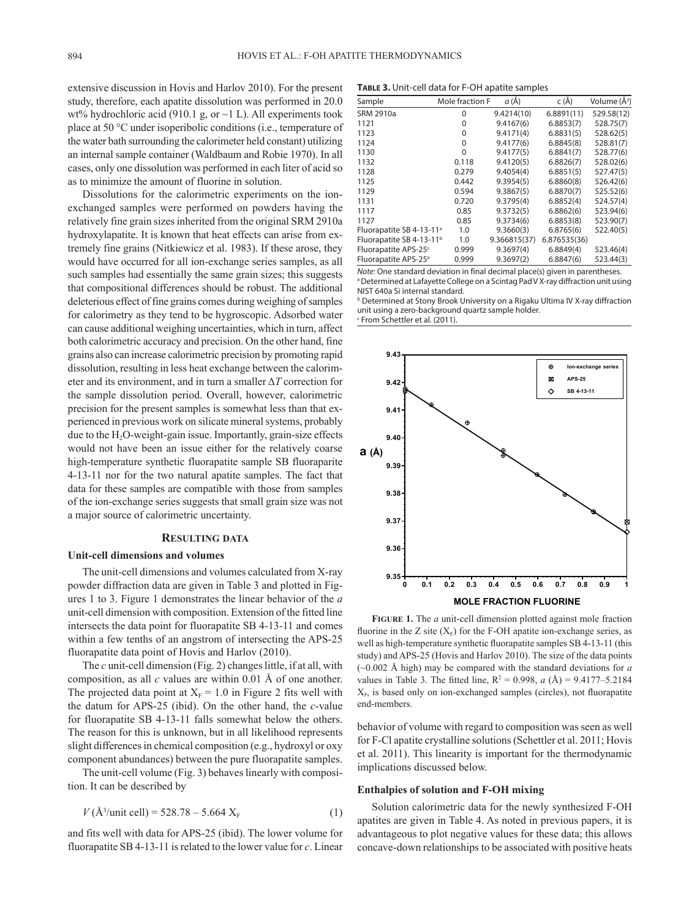extensive discussion in Hovis and Harlov 2010). For the present study, therefore, each apatite dissolution was performed in 20.0 wt% hydrochloric acid (910.1 g, or  $\sim$ 1 L). All experiments took place at 50 °C under isoperibolic conditions (i.e., temperature of the water bath surrounding the calorimeter held constant) utilizing an internal sample container (Waldbaum and Robie 1970). In all cases, only one dissolution was performed in each liter of acid so as to minimize the amount of fluorine in solution.

Dissolutions for the calorimetric experiments on the ionexchanged samples were performed on powders having the relatively fine grain sizes inherited from the original SRM 2910a hydroxylapatite. It is known that heat effects can arise from extremely fine grains (Nitkiewicz et al. 1983). If these arose, they would have occurred for all ion-exchange series samples, as all such samples had essentially the same grain sizes; this suggests that compositional differences should be robust. The additional deleterious effect of fine grains comes during weighing of samples for calorimetry as they tend to be hygroscopic. Adsorbed water can cause additional weighing uncertainties, which in turn, affect both calorimetric accuracy and precision. On the other hand, fine grains also can increase calorimetric precision by promoting rapid dissolution, resulting in less heat exchange between the calorimeter and its environment, and in turn a smaller Δ*T* correction for the sample dissolution period. Overall, however, calorimetric precision for the present samples is somewhat less than that experienced in previous work on silicate mineral systems, probably due to the  $H<sub>2</sub>O$ -weight-gain issue. Importantly, grain-size effects would not have been an issue either for the relatively coarse high-temperature synthetic fluorapatite sample SB fluoraparite 4-13-11 nor for the two natural apatite samples. The fact that data for these samples are compatible with those from samples of the ion-exchange series suggests that small grain size was not a major source of calorimetric uncertainty.

### **Resulting data**

### **Unit-cell dimensions and volumes**

The unit-cell dimensions and volumes calculated from X-ray powder diffraction data are given in Table 3 and plotted in Figures 1 to 3. Figure 1 demonstrates the linear behavior of the *a* unit-cell dimension with composition. Extension of the fitted line intersects the data point for fluorapatite SB 4-13-11 and comes within a few tenths of an angstrom of intersecting the APS-25 fluorapatite data point of Hovis and Harlov (2010).

The *c* unit-cell dimension (Fig. 2) changes little, if at all, with composition, as all *c* values are within 0.01 Å of one another. The projected data point at  $X_F = 1.0$  in Figure 2 fits well with the datum for APS-25 (ibid). On the other hand, the *c*-value for fluorapatite SB 4-13-11 falls somewhat below the others. The reason for this is unknown, but in all likelihood represents slight differences in chemical composition (e.g., hydroxyl or oxy component abundances) between the pure fluorapatite samples.

The unit-cell volume (Fig. 3) behaves linearly with composition. It can be described by

$$
V(\text{Å}^3/\text{unit cell}) = 528.78 - 5.664 \text{ X}_{\text{F}} \tag{1}
$$

and fits well with data for APS-25 (ibid). The lower volume for fluorapatite SB 4-13-11 is related to the lower value for *c*. Linear

**Table 3.** Unit-cell data for F-OH apatite samples

| Sample                               | Mole fraction F | a (Å)        | c (Å)        | Volume (Å <sup>3</sup> ) |
|--------------------------------------|-----------------|--------------|--------------|--------------------------|
| SRM 2910a                            | 0               | 9.4214(10)   | 6.8891(11)   | 529.58(12)               |
| 1121                                 | 0               | 9.4167(6)    | 6.8853(7)    | 528.75(7)                |
| 1123                                 | 0               | 9.4171(4)    | 6.8831(5)    | 528.62(5)                |
| 1124                                 | 0               | 9.4177(6)    | 6.8845(8)    | 528.81(7)                |
| 1130                                 | $\Omega$        | 9.4177(5)    | 6.8841(7)    | 528.77(6)                |
| 1132                                 | 0.118           | 9.4120(5)    | 6.8826(7)    | 528.02(6)                |
| 1128                                 | 0.279           | 9,4054(4)    | 6.8851(5)    | 527.47(5)                |
| 1125                                 | 0.442           | 9.3954(5)    | 6.8860(8)    | 526.42(6)                |
| 1129                                 | 0.594           | 9.3867(5)    | 6.8870(7)    | 525.52(6)                |
| 1131                                 | 0.720           | 9.3795(4)    | 6.8852(4)    | 524.57(4)                |
| 1117                                 | 0.85            | 9.3732(5)    | 6.8862(6)    | 523.94(6)                |
| 1127                                 | 0.85            | 9.3734(6)    | 6.8853(8)    | 523.90(7)                |
| Fluorapatite SB 4-13-11 <sup>a</sup> | 1.0             | 9.3660(3)    | 6.8765(6)    | 522.40(5)                |
| Fluorapatite SB 4-13-11 <sup>b</sup> | 1.0             | 9.366815(37) | 6.876535(36) |                          |
| Fluorapatite APS-25 <sup>c</sup>     | 0.999           | 9.3697(4)    | 6.8849(4)    | 523.46(4)                |
| Fluorapatite APS-25 <sup>a</sup>     | 0.999           | 9.3697(2)    | 6.8847(6)    | 523.44(3)                |
|                                      |                 |              |              |                          |

*Note:* One standard deviation in final decimal place(s) given in parentheses. <sup>a</sup> Determined at Lafayette College on a Scintag Pad V X-ray diffraction unit using NIST 640a Si internal standard.

**b** Determined at Stony Brook University on a Rigaku Ultima IV X-ray diffraction unit using a zero-background quartz sample holder.

c From Schettler et al. (2011).



fluorine in the Z site  $(X_F)$  for the F-OH apatite ion-exchange series, as **Figure 1.** The *a* unit-cell dimension plotted against mole fraction well as high-temperature synthetic fluorapatite samples SB 4-13-11 (this study) and APS-25 (Hovis and Harlov 2010). The size of the data points (~0.002 Å high) may be compared with the standard deviations for *a* values in Table 3. The fitted line,  $R^2 = 0.998$ ,  $a(A) = 9.4177 - 5.2184$  $X_F$ , is based only on ion-exchanged samples (circles), not fluorapatite end-members.

behavior of volume with regard to composition was seen as well for F-Cl apatite crystalline solutions (Schettler et al. 2011; Hovis et al. 2011). This linearity is important for the thermodynamic implications discussed below.

### **Enthalpies of solution and F-OH mixing**

Solution calorimetric data for the newly synthesized F-OH apatites are given in Table 4. As noted in previous papers, it is advantageous to plot negative values for these data; this allows concave-down relationships to be associated with positive heats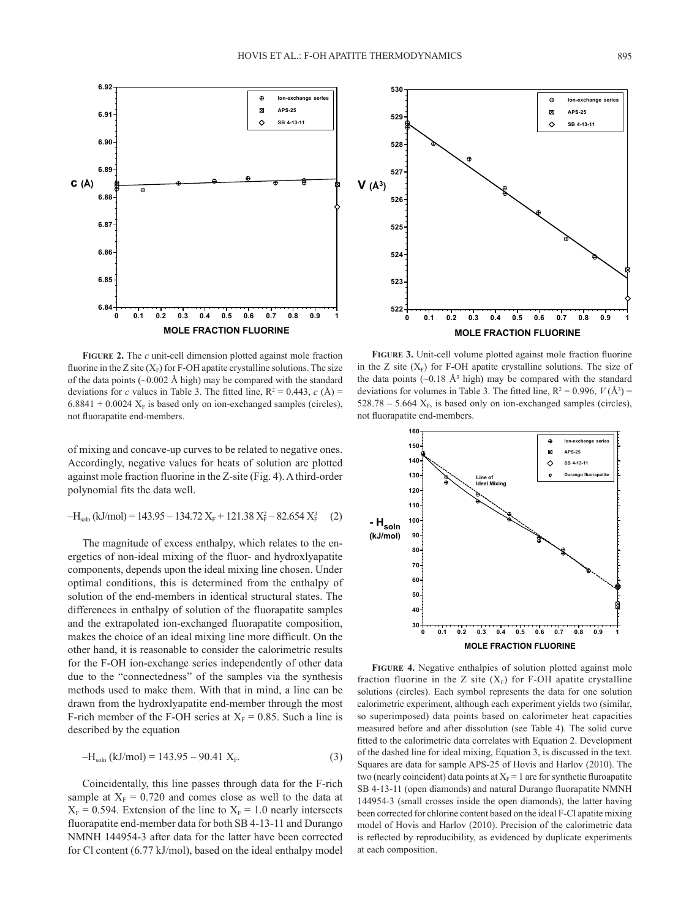

**FIGURE 2.** The *c* unit-cell dimension plotted against mole fraction fluorine in the Z site  $(X_F)$  for F-OH apatite crystalline solutions. The size of the data points ( $\sim$ 0.002 Å high) may be compared with the standard deviations for *c* values in Table 3. The fitted line,  $R^2 = 0.443$ , *c* (Å) =  $6.8841 + 0.0024$  X<sub>F</sub> is based only on ion-exchanged samples (circles), not fluorapatite end-members.

of mixing and concave-up curves to be related to negative ones. Accordingly, negative values for heats of solution are plotted against mole fraction fluorine in the Z-site (Fig. 4). A third-order polynomial fits the data well.

$$
-H_{soln} (kJ/mol) = 143.95 - 134.72 X_F + 121.38 X_F^2 - 82.654 X_F^3
$$
 (2)

The magnitude of excess enthalpy, which relates to the energetics of non-ideal mixing of the fluor- and hydroxlyapatite components, depends upon the ideal mixing line chosen. Under optimal conditions, this is determined from the enthalpy of solution of the end-members in identical structural states. The differences in enthalpy of solution of the fluorapatite samples and the extrapolated ion-exchanged fluorapatite composition, makes the choice of an ideal mixing line more difficult. On the other hand, it is reasonable to consider the calorimetric results for the F-OH ion-exchange series independently of other data due to the "connectedness" of the samples via the synthesis methods used to make them. With that in mind, a line can be drawn from the hydroxlyapatite end-member through the most F-rich member of the F-OH series at  $X_F = 0.85$ . Such a line is described by the equation

$$
-H_{\text{soln}}\left(k\text{J/mol}\right) = 143.95 - 90.41 \text{ X}_{\text{F}}.\tag{3}
$$

Coincidentally, this line passes through data for the F-rich sample at  $X_F = 0.720$  and comes close as well to the data at  $X_F = 0.594$ . Extension of the line to  $X_F = 1.0$  nearly intersects fluorapatite end-member data for both SB 4-13-11 and Durango NMNH 144954-3 after data for the latter have been corrected for Cl content (6.77 kJ/mol), based on the ideal enthalpy model



in the Z site  $(X_F)$  for F-OH apatite crystalline solutions. The size of **Figure 3.** Unit-cell volume plotted against mole fraction fluorine the data points  $(\sim 0.18 \text{ Å}^3 \text{ high})$  may be compared with the standard deviations for volumes in Table 3. The fitted line,  $R^2 = 0.996$ ,  $V(\AA^3) =$  $528.78 - 5.664$  X<sub>F</sub>, is based only on ion-exchanged samples (circles), not fluorapatite end-members.



24 144954-3 (small crosses inside the open diamonds), the latter having **FIGURE 4 Figure 4.** Negative enthalpies of solution plotted against mole fraction fluorine in the Z site  $(X_F)$  for F-OH apatite crystalline solutions (circles). Each symbol represents the data for one solution calorimetric experiment, although each experiment yields two (similar, so superimposed) data points based on calorimeter heat capacities measured before and after dissolution (see Table 4). The solid curve fitted to the calorimetric data correlates with Equation 2. Development of the dashed line for ideal mixing, Equation 3, is discussed in the text. Squares are data for sample APS-25 of Hovis and Harlov (2010). The two (nearly coincident) data points at  $X_F = 1$  are for synthetic fluroapatite SB 4-13-11 (open diamonds) and natural Durango fluorapatite NMNH been corrected for chlorine content based on the ideal F-Cl apatite mixing model of Hovis and Harlov (2010). Precision of the calorimetric data is reflected by reproducibility, as evidenced by duplicate experiments at each composition.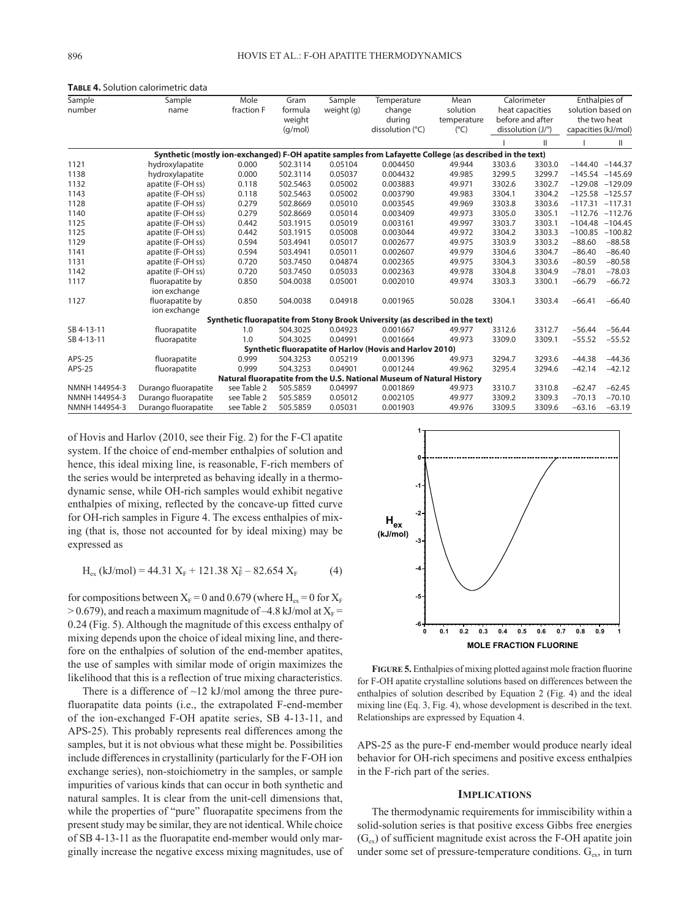| Sample                                                                                                  | Sample               | Mole        | Gram     | Sample     | Temperature                                                                   | Mean          | Calorimeter<br>heat capacities<br>before and after<br>dissolution (J/°) |        |                     | Enthalpies of |  |  |
|---------------------------------------------------------------------------------------------------------|----------------------|-------------|----------|------------|-------------------------------------------------------------------------------|---------------|-------------------------------------------------------------------------|--------|---------------------|---------------|--|--|
| number                                                                                                  | name                 | fraction F  | formula  | weight (g) | change                                                                        | solution      |                                                                         |        | solution based on   |               |  |  |
|                                                                                                         |                      |             | weight   |            | during                                                                        | temperature   |                                                                         |        | the two heat        |               |  |  |
|                                                                                                         |                      |             | (q/mol)  |            | dissolution (°C)                                                              | $(^{\circ}C)$ |                                                                         |        | capacities (kJ/mol) |               |  |  |
|                                                                                                         |                      |             |          |            |                                                                               |               |                                                                         | Ш      |                     | Ш             |  |  |
| Synthetic (mostly ion-exchanged) F-OH apatite samples from Lafayette College (as described in the text) |                      |             |          |            |                                                                               |               |                                                                         |        |                     |               |  |  |
| 1121                                                                                                    | hydroxylapatite      | 0.000       | 502.3114 | 0.05104    | 0.004450                                                                      | 49.944        | 3303.6                                                                  | 3303.0 | $-144.40 -144.37$   |               |  |  |
| 1138                                                                                                    | hydroxylapatite      | 0.000       | 502.3114 | 0.05037    | 0.004432                                                                      | 49.985        | 3299.5                                                                  | 3299.7 | $-145.54 -145.69$   |               |  |  |
| 1132                                                                                                    | apatite (F-OH ss)    | 0.118       | 502.5463 | 0.05002    | 0.003883                                                                      | 49.971        | 3302.6                                                                  | 3302.7 | $-129.08 -129.09$   |               |  |  |
| 1143                                                                                                    | apatite (F-OH ss)    | 0.118       | 502.5463 | 0.05002    | 0.003790                                                                      | 49.983        | 3304.1                                                                  | 3304.2 | $-125.58 -125.57$   |               |  |  |
| 1128                                                                                                    | apatite (F-OH ss)    | 0.279       | 502.8669 | 0.05010    | 0.003545                                                                      | 49.969        | 3303.8                                                                  | 3303.6 | $-117.31$           | $-117.31$     |  |  |
| 1140                                                                                                    | apatite (F-OH ss)    | 0.279       | 502.8669 | 0.05014    | 0.003409                                                                      | 49.973        | 3305.0                                                                  | 3305.1 | $-112.76 -112.76$   |               |  |  |
| 1125                                                                                                    | apatite (F-OH ss)    | 0.442       | 503.1915 | 0.05019    | 0.003161                                                                      | 49.997        | 3303.7                                                                  | 3303.1 | $-104.48 - 104.45$  |               |  |  |
| 1125                                                                                                    | apatite (F-OH ss)    | 0.442       | 503.1915 | 0.05008    | 0.003044                                                                      | 49.972        | 3304.2                                                                  | 3303.3 | $-100.85 -100.82$   |               |  |  |
| 1129                                                                                                    | apatite (F-OH ss)    | 0.594       | 503.4941 | 0.05017    | 0.002677                                                                      | 49.975        | 3303.9                                                                  | 3303.2 | $-88.60$            | $-88.58$      |  |  |
| 1141                                                                                                    | apatite (F-OH ss)    | 0.594       | 503.4941 | 0.05011    | 0.002607                                                                      | 49.979        | 3304.6                                                                  | 3304.7 | $-86.40$            | $-86.40$      |  |  |
| 1131                                                                                                    | apatite (F-OH ss)    | 0.720       | 503.7450 | 0.04874    | 0.002365                                                                      | 49.975        | 3304.3                                                                  | 3303.6 | $-80.59$            | $-80.58$      |  |  |
| 1142                                                                                                    | apatite (F-OH ss)    | 0.720       | 503.7450 | 0.05033    | 0.002363                                                                      | 49.978        | 3304.8                                                                  | 3304.9 | $-78.01$            | $-78.03$      |  |  |
| 1117                                                                                                    | fluorapatite by      | 0.850       | 504.0038 | 0.05001    | 0.002010                                                                      | 49.974        | 3303.3                                                                  | 3300.1 | $-66.79$            | $-66.72$      |  |  |
|                                                                                                         | ion exchange         |             |          |            |                                                                               |               |                                                                         |        |                     |               |  |  |
| 1127                                                                                                    | fluorapatite by      | 0.850       | 504.0038 | 0.04918    | 0.001965                                                                      | 50.028        | 3304.1                                                                  | 3303.4 | $-66.41$            | $-66.40$      |  |  |
|                                                                                                         | ion exchange         |             |          |            |                                                                               |               |                                                                         |        |                     |               |  |  |
|                                                                                                         |                      |             |          |            | Synthetic fluorapatite from Stony Brook University (as described in the text) |               |                                                                         |        |                     |               |  |  |
| SB 4-13-11                                                                                              | fluorapatite         | 1.0         | 504.3025 | 0.04923    | 0.001667                                                                      | 49.977        | 3312.6                                                                  | 3312.7 | $-56.44$            | $-56.44$      |  |  |
| SB 4-13-11                                                                                              | fluorapatite         | 1.0         | 504.3025 | 0.04991    | 0.001664                                                                      | 49.973        | 3309.0                                                                  | 3309.1 | $-55.52$            | $-55.52$      |  |  |
| Synthetic fluorapatite of Harlov (Hovis and Harlov 2010)                                                |                      |             |          |            |                                                                               |               |                                                                         |        |                     |               |  |  |
| APS-25                                                                                                  | fluorapatite         | 0.999       | 504.3253 | 0.05219    | 0.001396                                                                      | 49.973        | 3294.7                                                                  | 3293.6 | $-44.38$            | $-44.36$      |  |  |
| APS-25                                                                                                  | fluorapatite         | 0.999       | 504.3253 | 0.04901    | 0.001244                                                                      | 49.962        | 3295.4                                                                  | 3294.6 | $-42.14$            | $-42.12$      |  |  |
| Natural fluorapatite from the U.S. National Museum of Natural History                                   |                      |             |          |            |                                                                               |               |                                                                         |        |                     |               |  |  |
| NMNH 144954-3                                                                                           | Durango fluorapatite | see Table 2 | 505.5859 | 0.04997    | 0.001869                                                                      | 49.973        | 3310.7                                                                  | 3310.8 | $-62.47$            | $-62.45$      |  |  |
| NMNH 144954-3                                                                                           | Durango fluorapatite | see Table 2 | 505.5859 | 0.05012    | 0.002105                                                                      | 49.977        | 3309.2                                                                  | 3309.3 | $-70.13$            | $-70.10$      |  |  |
| NMNH 144954-3                                                                                           | Durango fluorapatite | see Table 2 | 505.5859 | 0.05031    | 0.001903                                                                      | 49.976        | 3309.5                                                                  | 3309.6 | $-63.16$            | $-63.19$      |  |  |

**Table 4.** Solution calorimetric data

of Hovis and Harlov (2010, see their Fig. 2) for the F-Cl apatite system. If the choice of end-member enthalpies of solution and hence, this ideal mixing line, is reasonable, F-rich members of the series would be interpreted as behaving ideally in a thermodynamic sense, while OH-rich samples would exhibit negative enthalpies of mixing, reflected by the concave-up fitted curve for OH-rich samples in Figure 4. The excess enthalpies of mixing (that is, those not accounted for by ideal mixing) may be expressed as

$$
H_{ex} (kJ/mol) = 44.31 X_F + 121.38 X_F^2 - 82.654 X_F
$$
 (4)

for compositions between  $X_F = 0$  and 0.679 (where  $H_{ex} = 0$  for  $X_F$  $> 0.679$ ), and reach a maximum magnitude of -4.8 kJ/mol at  $X_F$  = 0.24 (Fig. 5). Although the magnitude of this excess enthalpy of mixing depends upon the choice of ideal mixing line, and therefore on the enthalpies of solution of the end-member apatites, the use of samples with similar mode of origin maximizes the likelihood that this is a reflection of true mixing characteristics.

There is a difference of  $\sim$ 12 kJ/mol among the three purefluorapatite data points (i.e., the extrapolated F-end-member of the ion-exchanged F-OH apatite series, SB 4-13-11, and APS-25). This probably represents real differences among the samples, but it is not obvious what these might be. Possibilities include differences in crystallinity (particularly for the F-OH ion exchange series), non-stoichiometry in the samples, or sample impurities of various kinds that can occur in both synthetic and natural samples. It is clear from the unit-cell dimensions that, while the properties of "pure" fluorapatite specimens from the present study may be similar, they are not identical. While choice of SB 4-13-11 as the fluorapatite end-member would only marginally increase the negative excess mixing magnitudes, use of



**Figure 5.** Enthalpies of mixing plotted against mole fraction fluorine for F-OH apatite crystalline solutions based on differences between the enthalpies of solution described by Equation 2 (Fig. 4) and the ideal mixing line (Eq. 3, Fig. 4), whose development is described in the text. Relationships are expressed by Equation 4.

APS-25 as the pure-F end-member would produce nearly ideal behavior for OH-rich specimens and positive excess enthalpies in the F-rich part of the series.

### **Implications**

The thermodynamic requirements for immiscibility within a solid-solution series is that positive excess Gibbs free energies  $(G_{ex})$  of sufficient magnitude exist across the F-OH apatite join under some set of pressure-temperature conditions. G<sub>ex</sub>, in turn